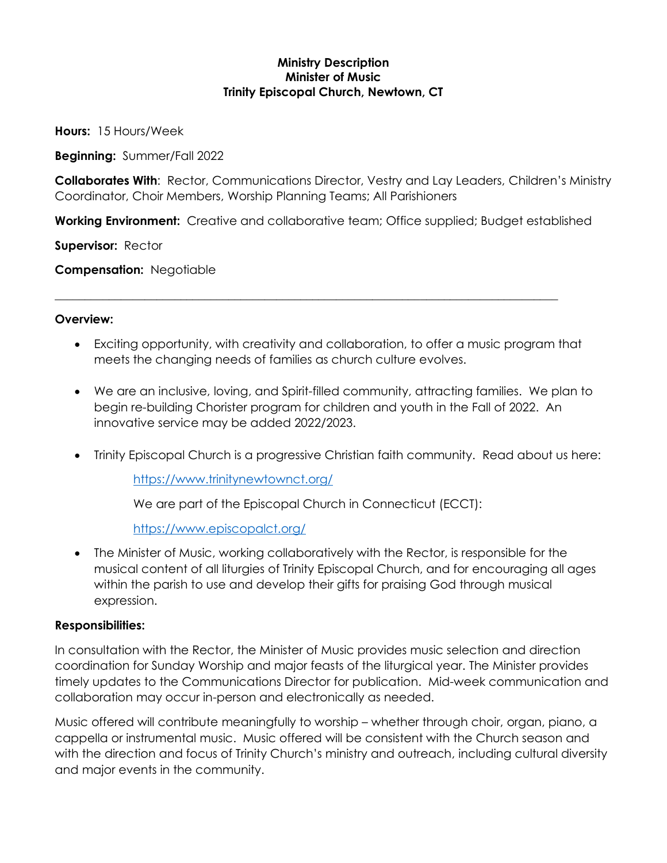## **Ministry Description Minister of Music Trinity Episcopal Church, Newtown, CT**

**Hours:** 15 Hours/Week

**Beginning:** Summer/Fall 2022

**Collaborates With**: Rector, Communications Director, Vestry and Lay Leaders, Children's Ministry Coordinator, Choir Members, Worship Planning Teams; All Parishioners

**Working Environment:** Creative and collaborative team; Office supplied; Budget established

\_\_\_\_\_\_\_\_\_\_\_\_\_\_\_\_\_\_\_\_\_\_\_\_\_\_\_\_\_\_\_\_\_\_\_\_\_\_\_\_\_\_\_\_\_\_\_\_\_\_\_\_\_\_\_\_\_\_\_\_\_\_\_\_\_\_\_\_\_\_\_\_\_\_\_\_\_\_\_\_\_\_\_\_

**Supervisor:** Rector

**Compensation:** Negotiable

## **Overview:**

- Exciting opportunity, with creativity and collaboration, to offer a music program that meets the changing needs of families as church culture evolves.
- We are an inclusive, loving, and Spirit-filled community, attracting families. We plan to begin re-building Chorister program for children and youth in the Fall of 2022. An innovative service may be added 2022/2023.
- Trinity Episcopal Church is a progressive Christian faith community. Read about us here:

<https://www.trinitynewtownct.org/>

We are part of the Episcopal Church in Connecticut (ECCT):

<https://www.episcopalct.org/>

• The Minister of Music, working collaboratively with the Rector, is responsible for the musical content of all liturgies of Trinity Episcopal Church, and for encouraging all ages within the parish to use and develop their gifts for praising God through musical expression.

## **Responsibilities:**

In consultation with the Rector, the Minister of Music provides music selection and direction coordination for Sunday Worship and major feasts of the liturgical year. The Minister provides timely updates to the Communications Director for publication. Mid-week communication and collaboration may occur in-person and electronically as needed.

Music offered will contribute meaningfully to worship – whether through choir, organ, piano, a cappella or instrumental music. Music offered will be consistent with the Church season and with the direction and focus of Trinity Church's ministry and outreach, including cultural diversity and major events in the community.